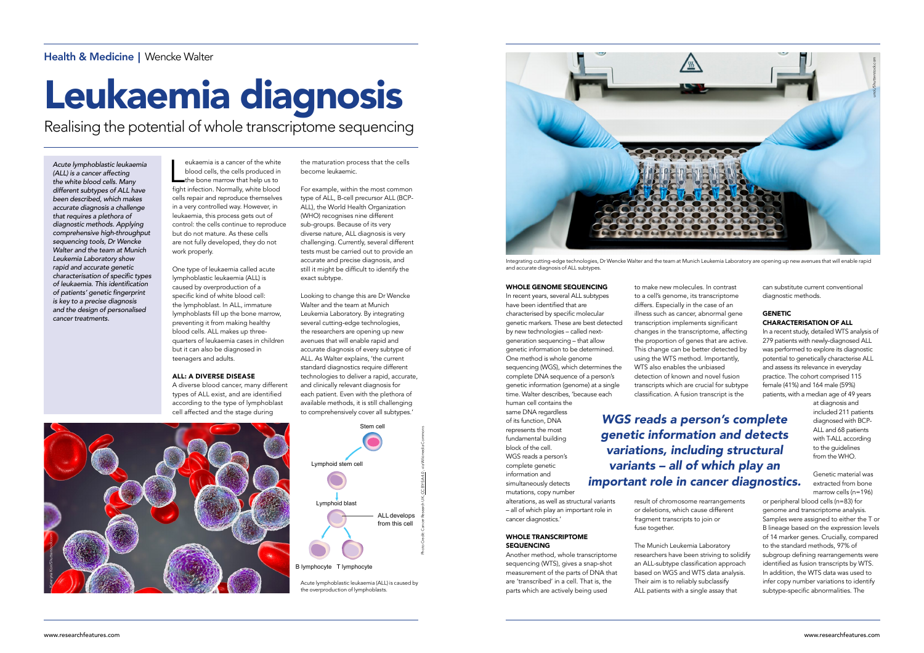#### WHOLE GENOME SEQUENCING

In recent years, several ALL subtypes have been identified that are characterised by specific molecular genetic markers. These are best detected by new technologies – called nextgeneration sequencing – that allow genetic information to be determined. One method is whole genome sequencing (WGS), which determines the complete DNA sequence of a person's genetic information (genome) at a single time. Walter describes, 'because each human cell contains the

#### WHOLE TRANSCRIPTOME **SEQUENCING**

same DNA regardless of its function, DNA represents the most fundamental building block of the cell. WGS reads a person's complete genetic information and simultaneously detects mutations, copy number

eukaemia is a cancer of the white<br>blood cells, the cells produced in<br>the bone marrow that help us to<br>fight infection. Normally, white blood eukaemia is a cancer of the white blood cells, the cells produced in fight infection. Normally, white blood cells repair and reproduce themselves in a very controlled way. However, in leukaemia, this process gets out of control: the cells continue to reproduce but do not mature. As these cells are not fully developed, they do not work properly.

> alterations, as well as structural variants – all of which play an important role in cancer diagnostics.'

Another method, whole transcriptome sequencing (WTS), gives a snap-shot measurement of the parts of DNA that are 'transcribed' in a cell. That is, the parts which are actively being used

One type of leukaemia called acute lymphoblastic leukaemia (ALL) is caused by overproduction of a specific kind of white blood cell: the lymphoblast. In ALL, immature lymphoblasts fill up the bone marrow, preventing it from making healthy blood cells. ALL makes up threequarters of leukaemia cases in children but it can also be diagnosed in teenagers and adults.

#### ALL: A DIVERSE DISEASE

A diverse blood cancer, many different types of ALL exist, and are identified according to the type of lymphoblast cell affected and the stage during

the maturation process that the cells become leukaemic.

For example, within the most common type of ALL, B-cell precursor ALL (BCP-ALL), the World Health Organization (WHO) recognises nine different sub-groups. Because of its very diverse nature, ALL diagnosis is very challenging. Currently, several different tests must be carried out to provide an accurate and precise diagnosis, and still it might be difficult to identify the exact subtype.

#### **GENETIC** CHARACTERISATION OF ALL

Looking to change this are Dr Wencke Walter and the team at Munich Leukemia Laboratory. By integrating several cutting-edge technologies, the researchers are opening up new avenues that will enable rapid and accurate diagnosis of every subtype of ALL. As Walter explains, 'the current standard diagnostics require different technologies to deliver a rapid, accurate, and clinically relevant diagnosis for each patient. Even with the plethora of available methods, it is still challenging to comprehensively cover all subtypes.'

Health & Medicine | Wencke Walter

# Leukaemia diagnosis

Realising the potential of whole transcriptome sequencing

*Acute lymphoblastic leukaemia (ALL) is a cancer affecting the white blood cells. Many different subtypes of ALL have been described, which makes accurate diagnosis a challenge that requires a plethora of diagnostic methods. Applying comprehensive high-throughput sequencing tools, Dr Wencke Walter and the team at Munich Leukemia Laboratory show rapid and accurate genetic*  characterisation of specific types of leukaemia. This identification of patients' genetic fingerprint *is key to a precise diagnosis and the design of personalised cancer treatments.*

Integrating cutting-edge technologies, Dr Wencke Walter and the team at Munich Leukemia Laboratory are opening up new avenues that will enable rapid

and accurate diagnosis of ALL subtypes.

to make new molecules. In contrast to a cell's genome, its transcriptome differs. Especially in the case of an illness such as cancer, abnormal gene transcription implements significant changes in the transcriptome, affecting the proportion of genes that are active. This change can be better detected by using the WTS method. Importantly, WTS also enables the unbiased detection of known and novel fusion transcripts which are crucial for subtype classification. A fusion transcript is the

result of chromosome rearrangements or deletions, which cause different fragment transcripts to join or fuse together.

The Munich Leukemia Laboratory researchers have been striving to solidify an ALL-subtype classification approach based on WGS and WTS data analysis. Their aim is to reliably subclassify ALL patients with a single assay that

can substitute current conventional diagnostic methods.

In a recent study, detailed WTS analysis of 279 patients with newly-diagnosed ALL was performed to explore its diagnostic potential to genetically characterise ALL and assess its relevance in everyday practice. The cohort comprised 115 female (41%) and 164 male (59%) patients, with a median age of 49 years

at diagnosis and included 211 patients diagnosed with BCP-ALL and 68 patients

with T-ALL according to the guidelines from the WHO. Genetic material was

extracted from bone marrow cells (n=196)

or peripheral blood cells (n=83) for genome and transcriptome analysis. Samples were assigned to either the T or B lineage based on the expression levels of 14 marker genes. Crucially, compared to the standard methods, 97% of subgroup defining rearrangements were identified as fusion transcripts by WTS. In addition, the WTS data was used to infer copy number variations to identify subtype-specific abnormalities. The





Acute lymphoblastic leukaemia (ALL) is caused by the overproduction of lymphoblasts.



*WGS reads a person's complete genetic information and detects variations, including structural variants – all of which play an important role in cancer diagnostics.*